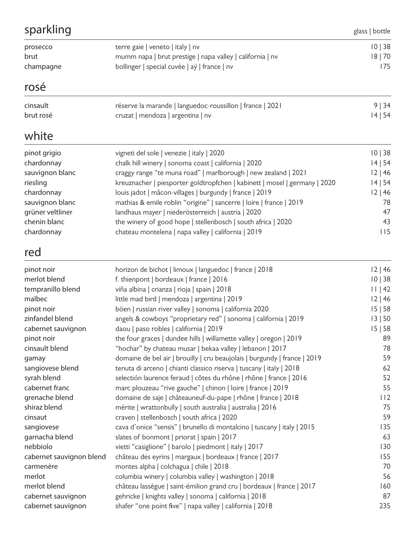| sparkling                |                                                                            | glass   bottle |
|--------------------------|----------------------------------------------------------------------------|----------------|
| prosecco                 | terre gaie   veneto   italy   nv                                           | 10   38        |
| brut                     | mumm napa   brut prestige   napa valley   california   nv                  | 18 70          |
| champagne                | bollinger   special cuvée   aÿ   france   nv                               | 175            |
| rosé                     |                                                                            |                |
| cinsault                 | réserve la marande   languedoc-roussillon   france   2021                  | 9   34         |
| brut rosé                | cruzat   mendoza   argentina   nv                                          | 14   54        |
| white                    |                                                                            |                |
| pinot grigio             | vigneti del sole   venezie   italy   2020                                  | 10   38        |
| chardonnay               | chalk hill winery   sonoma coast   california   2020                       | 14   54        |
| sauvignon blanc          | craggy range "te muna road"   marlborough   new zealand   2021             | 12 46          |
| riesling                 | kreuznacher   piesporter goldtropfchen   kabinett   mosel   germany   2020 | 14   54        |
| chardonnay               | louis jadot   mâcon-villages   burgundy   france   2019                    | 12 46          |
| sauvignon blanc          | mathias & emile roblin "origine"   sancerre   loire   france   2019        | 78             |
| grüner veltliner         | landhaus mayer   niederösterreich   austria   2020                         | 47             |
| chenin blanc             | the winery of good hope   stellenbosch   south africa   2020               | 43             |
| chardonnay               | chateau montelena   napa valley   california   2019                        | 115            |
| red                      |                                                                            |                |
| pinot noir               | horizon de bichot   limoux   languedoc   france   2018                     | 12 46          |
| merlot blend             | f. thienpont   bordeaux   france   2016                                    | 10   38        |
| tempranillo blend        | viña albina   crianza   rioja   spain   2018                               | 11   42        |
| malbec                   | little mad bird   mendoza   argentina   2019                               | 12 46          |
| pinot noir               | böen   russian river valley   sonoma   california 2020                     | 15 58          |
| zinfandel blend          | angels & cowboys "proprietary red"   sonoma   california   2019            | 13   50        |
| cabernet sauvignon       | daou   paso robles   california   2019                                     | 15   58        |
| pinot noir               | the four graces   dundee hills   willamette valley   oregon   2019         | 89             |
| cinsault blend           | "hochar" by chateau musar   bekaa valley   lebanon   2017                  | 78             |
| gamay                    | domaine de bel air   brouilly   cru beaujolais   burgundy   france   2019  | 59             |
| sangiovese blend         | tenuta di arceno   chianti classico riserva   tuscany   italy   2018       | 62             |
| syrah blend              | selectión laurence feraud   côtes du rhône   rhône   france   2016         | 52             |
| cabernet franc           | marc plouzeau "rive gauche"   chinon   loire   france   2019               | 55             |
| grenache blend           | domaine de saje   châteauneuf-du-pape   rhône   france   2018              | 112            |
| shiraz blend             | mérite   wrattonbully   south australia   australia   2016                 | 75             |
| cinsaut                  | craven   stellenbosch   south africa   2020                                | 59             |
| sangiovese               | cava d'onice "sensis"   brunello di montalcino   tuscany   italy   2015    | 135            |
| garnacha blend           | slates of bonmont   priorat   spain   2017                                 | 63             |
| nebbiolo                 | vietti "casiglione"   barolo   piedmont   italy   2017                     | 130            |
| cabernet sauvignon blend | château des eyrins   margaux   bordeaux   france   2017                    | 155            |
| carmenère                | montes alpha   colchagua   chile   2018                                    | 70             |
| merlot                   | columbia winery   columbia valley   washington   2018                      | 56             |
| merlot blend             | château lassègue   saint-émilion grand cru   bordeaux   france   2017      | 160            |
| cabernet sauvignon       | gehricke   knights valley   sonoma   california   2018                     | 87             |
| cabernet sauvignon       | shafer "one point five"   napa valley   california   2018                  | 235            |